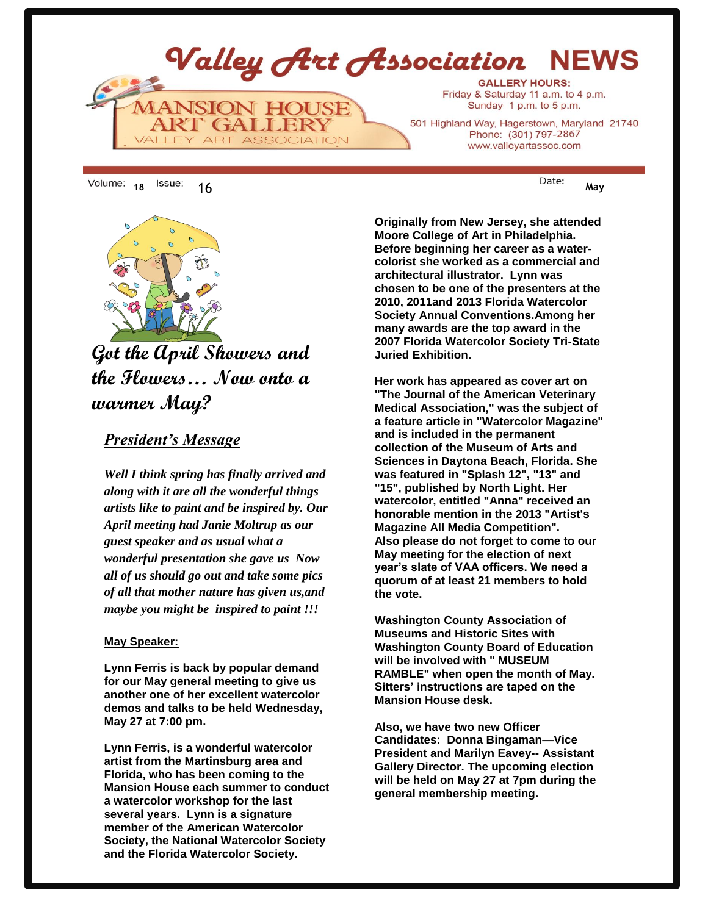





## **Got the April Showers and the Flowers… Now onto a warmer May?**

## *President's Message*

*Well I think spring has finally arrived and along with it are all the wonderful things artists like to paint and be inspired by. Our April meeting had Janie Moltrup as our guest speaker and as usual what a wonderful presentation she gave us Now all of us should go out and take some pics of all that mother nature has given us,and maybe you might be inspired to paint !!!*

## **May Speaker: armer May?**

**Lynn Ferris is back by popular demand for our May general meeting to give us another one of her excellent watercolor demos and talks to be held Wednesday, May 27 at 7:00 pm.** 

**Lynn Ferris, is a wonderful watercolor artist from the Martinsburg area and Florida, who has been coming to the Mansion House each summer to conduct a watercolor workshop for the last several years. Lynn is a signature member of the American Watercolor Society, the National Watercolor Society and the Florida Watercolor Society.** 

**Originally from New Jersey, she attended Moore College of Art in Philadelphia. Before beginning her career as a watercolorist she worked as a commercial and architectural illustrator. Lynn was chosen to be one of the presenters at the 2010, 2011and 2013 Florida Watercolor Society Annual Conventions.Among her many awards are the top award in the 2007 Florida Watercolor Society Tri-State Juried Exhibition.**

**Her work has appeared as cover art on "The Journal of the American Veterinary Medical Association," was the subject of a feature article in "Watercolor Magazine" and is included in the permanent collection of the Museum of Arts and Sciences in Daytona Beach, Florida. She was featured in "Splash 12", "13" and "15", published by North Light. Her watercolor, entitled "Anna" received an honorable mention in the 2013 "Artist's Magazine All Media Competition". Also please do not forget to come to our May meeting for the election of next year's slate of VAA officers. We need a quorum of at least 21 members to hold the vote.** 

**Washington County Association of Museums and Historic Sites with Washington County Board of Education will be involved with " MUSEUM RAMBLE" when open the month of May. Sitters' instructions are taped on the Mansion House desk.**

**Also, we have two new Officer Candidates: Donna Bingaman—Vice President and Marilyn Eavey-- Assistant Gallery Director. The upcoming election will be held on May 27 at 7pm during the general membership meeting.**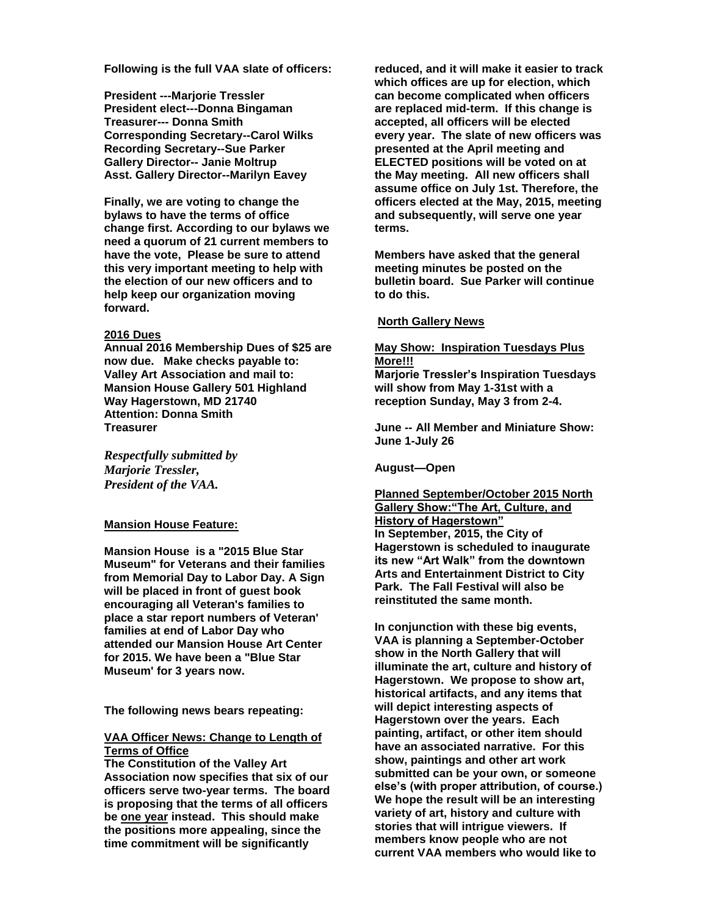**Following is the full VAA slate of officers:**

**President ---Marjorie Tressler President elect---Donna Bingaman Treasurer--- Donna Smith Corresponding Secretary--Carol Wilks Recording Secretary--Sue Parker Gallery Director-- Janie Moltrup Asst. Gallery Director--Marilyn Eavey**

**Finally, we are voting to change the bylaws to have the terms of office change first. According to our bylaws we need a quorum of 21 current members to have the vote, Please be sure to attend this very important meeting to help with the election of our new officers and to help keep our organization moving forward.**

#### **2016 Dues**

**Annual 2016 Membership Dues of \$25 are now due. Make checks payable to: Valley Art Association and mail to: Mansion House Gallery 501 Highland Way Hagerstown, MD 21740 Attention: Donna Smith Treasurer** 

*Respectfully submitted by Marjorie Tressler, President of the VAA.*

#### **Mansion House Feature:**

**Mansion House is a "2015 Blue Star Museum" for Veterans and their families from Memorial Day to Labor Day. A Sign will be placed in front of guest book encouraging all Veteran's families to place a star report numbers of Veteran' families at end of Labor Day who attended our Mansion House Art Center for 2015. We have been a "Blue Star Museum' for 3 years now.**

**The following news bears repeating:**

#### **VAA Officer News: Change to Length of Terms of Office**

**The Constitution of the Valley Art Association now specifies that six of our officers serve two-year terms. The board is proposing that the terms of all officers be one year instead. This should make the positions more appealing, since the time commitment will be significantly** 

**reduced, and it will make it easier to track which offices are up for election, which can become complicated when officers are replaced mid-term. If this change is accepted, all officers will be elected every year. The slate of new officers was presented at the April meeting and ELECTED positions will be voted on at the May meeting. All new officers shall assume office on July 1st. Therefore, the officers elected at the May, 2015, meeting and subsequently, will serve one year terms.**

**Members have asked that the general meeting minutes be posted on the bulletin board. Sue Parker will continue to do this.**

#### **North Gallery News**

## **May Show: Inspiration Tuesdays Plus More!!!**

**Marjorie Tressler's Inspiration Tuesdays will show from May 1-31st with a reception Sunday, May 3 from 2-4.**

**June -- All Member and Miniature Show: June 1-July 26**

**August—Open**

#### **Planned September/October 2015 North Gallery Show:"The Art, Culture, and History of Hagerstown" In September, 2015, the City of Hagerstown is scheduled to inaugurate its new "Art Walk" from the downtown Arts and Entertainment District to City Park. The Fall Festival will also be**

**reinstituted the same month.** 

**In conjunction with these big events, VAA is planning a September-October show in the North Gallery that will illuminate the art, culture and history of Hagerstown. We propose to show art, historical artifacts, and any items that will depict interesting aspects of Hagerstown over the years. Each painting, artifact, or other item should have an associated narrative. For this show, paintings and other art work submitted can be your own, or someone else's (with proper attribution, of course.) We hope the result will be an interesting variety of art, history and culture with stories that will intrigue viewers. If members know people who are not current VAA members who would like to**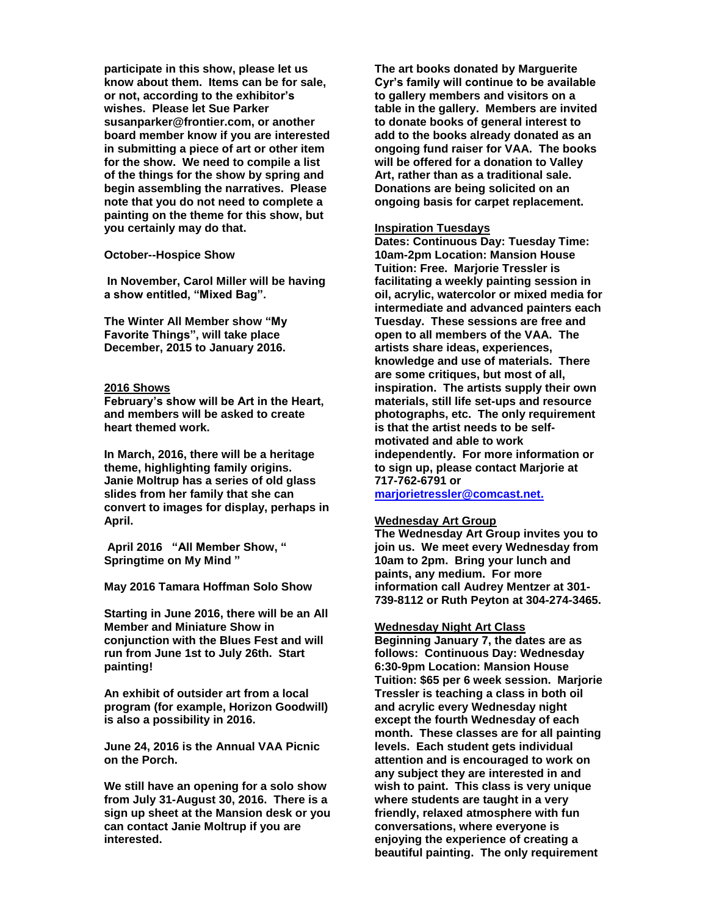**participate in this show, please let us know about them. Items can be for sale, or not, according to the exhibitor's wishes. Please let Sue Parker susanparker@frontier.com, or another board member know if you are interested in submitting a piece of art or other item for the show. We need to compile a list of the things for the show by spring and begin assembling the narratives. Please note that you do not need to complete a painting on the theme for this show, but you certainly may do that.**

#### **October--Hospice Show**

**In November, Carol Miller will be having a show entitled, "Mixed Bag".**

**The Winter All Member show "My Favorite Things", will take place December, 2015 to January 2016.**

#### **2016 Shows**

**February's show will be Art in the Heart, and members will be asked to create heart themed work.**

**In March, 2016, there will be a heritage theme, highlighting family origins. Janie Moltrup has a series of old glass slides from her family that she can convert to images for display, perhaps in April.** 

**April 2016 "All Member Show, " Springtime on My Mind "**

**May 2016 Tamara Hoffman Solo Show**

**Starting in June 2016, there will be an All Member and Miniature Show in conjunction with the Blues Fest and will run from June 1st to July 26th. Start painting!**

**An exhibit of outsider art from a local program (for example, Horizon Goodwill) is also a possibility in 2016.** 

**June 24, 2016 is the Annual VAA Picnic on the Porch.** 

**We still have an opening for a solo show from July 31-August 30, 2016. There is a sign up sheet at the Mansion desk or you can contact Janie Moltrup if you are interested.**

**The art books donated by Marguerite Cyr's family will continue to be available to gallery members and visitors on a table in the gallery. Members are invited to donate books of general interest to add to the books already donated as an ongoing fund raiser for VAA. The books will be offered for a donation to Valley Art, rather than as a traditional sale. Donations are being solicited on an ongoing basis for carpet replacement.**

#### **Inspiration Tuesdays**

**Dates: Continuous Day: Tuesday Time: 10am-2pm Location: Mansion House Tuition: Free. Marjorie Tressler is facilitating a weekly painting session in oil, acrylic, watercolor or mixed media for intermediate and advanced painters each Tuesday. These sessions are free and open to all members of the VAA. The artists share ideas, experiences, knowledge and use of materials. There are some critiques, but most of all, inspiration. The artists supply their own materials, still life set-ups and resource photographs, etc. The only requirement is that the artist needs to be selfmotivated and able to work independently. For more information or to sign up, please contact Marjorie at 717-762-6791 or marjorietressler@comcast.net.**

#### **Wednesday Art Group**

**The Wednesday Art Group invites you to join us. We meet every Wednesday from 10am to 2pm. Bring your lunch and paints, any medium. For more information call Audrey Mentzer at 301- 739-8112 or Ruth Peyton at 304-274-3465.**

#### **Wednesday Night Art Class**

**Beginning January 7, the dates are as follows: Continuous Day: Wednesday 6:30-9pm Location: Mansion House Tuition: \$65 per 6 week session. Marjorie Tressler is teaching a class in both oil and acrylic every Wednesday night except the fourth Wednesday of each month. These classes are for all painting levels. Each student gets individual attention and is encouraged to work on any subject they are interested in and wish to paint. This class is very unique where students are taught in a very friendly, relaxed atmosphere with fun conversations, where everyone is enjoying the experience of creating a beautiful painting. The only requirement**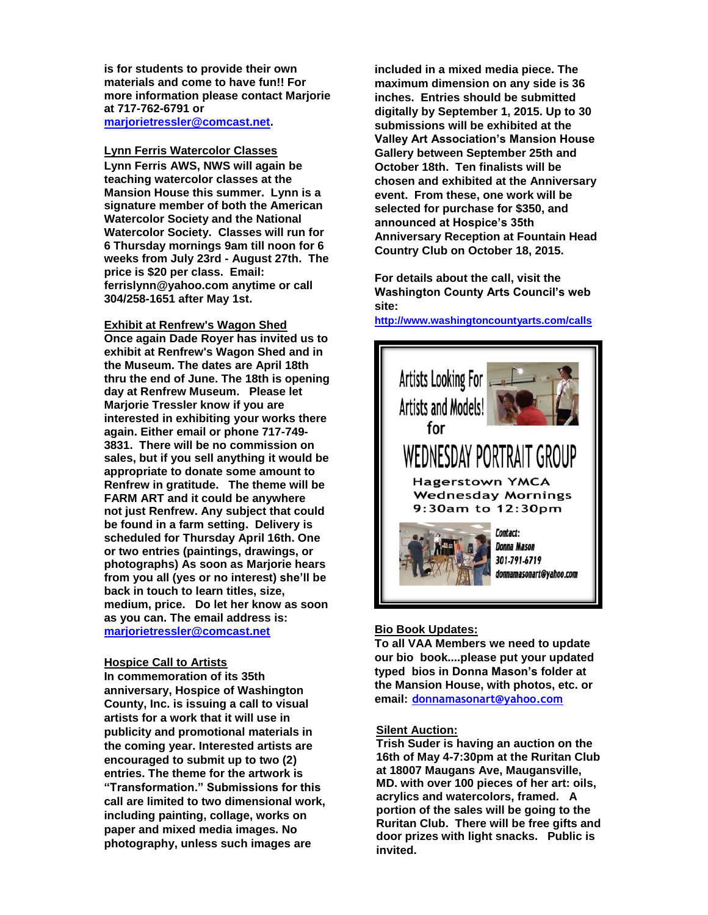**is for students to provide their own materials and come to have fun!! For more information please contact Marjorie at 717-762-6791 or [marjorietressler@comcast.net.](mailto:marjorietressler@comcast.net)**

**Lynn Ferris Watercolor Classes Lynn Ferris AWS, NWS will again be teaching watercolor classes at the Mansion House this summer. Lynn is a signature member of both the American Watercolor Society and the National Watercolor Society. Classes will run for 6 Thursday mornings 9am till noon for 6 weeks from July 23rd - August 27th. The price is \$20 per class. Email: ferrislynn@yahoo.com anytime or call 304/258-1651 after May 1st.**

**Exhibit at Renfrew's Wagon Shed Once again Dade Royer has invited us to exhibit at Renfrew's Wagon Shed and in the Museum. The dates are April 18th thru the end of June. The 18th is opening day at Renfrew Museum. Please let Marjorie Tressler know if you are interested in exhibiting your works there again. Either email or phone 717-749- 3831. There will be no commission on sales, but if you sell anything it would be appropriate to donate some amount to Renfrew in gratitude. The theme will be FARM ART and it could be anywhere not just Renfrew. Any subject that could be found in a farm setting. Delivery is scheduled for Thursday April 16th. One or two entries (paintings, drawings, or photographs) As soon as Marjorie hears from you all (yes or no interest) she'll be back in touch to learn titles, size, medium, price. Do let her know as soon as you can. The email address is: [marjorietressler@comcast.net](mailto:dbec100@egmbarqmail.com)**

#### **Hospice Call to Artists**

**In commemoration of its 35th anniversary, Hospice of Washington County, Inc. is issuing a call to visual artists for a work that it will use in publicity and promotional materials in the coming year. Interested artists are encouraged to submit up to two (2) entries. The theme for the artwork is "Transformation." Submissions for this call are limited to two dimensional work, including painting, collage, works on paper and mixed media images. No photography, unless such images are** 

**included in a mixed media piece. The maximum dimension on any side is 36 inches. Entries should be submitted digitally by September 1, 2015. Up to 30 submissions will be exhibited at the Valley Art Association's Mansion House Gallery between September 25th and October 18th. Ten finalists will be chosen and exhibited at the Anniversary event. From these, one work will be selected for purchase for \$350, and announced at Hospice's 35th Anniversary Reception at Fountain Head Country Club on October 18, 2015.** 

**For details about the call, visit the Washington County Arts Council's web site:** 

**<http://www.washingtoncountyarts.com/calls>**



#### **Bio Book Updates:**

**To all VAA Members we need to update our bio book....please put your updated typed bios in Donna Mason's folder at the Mansion House, with photos, etc. or email: donnamasonart@yahoo.com**

#### **Silent Auction:**

**Trish Suder is having an auction on the 16th of May 4-7:30pm at the Ruritan Club at 18007 Maugans Ave, Maugansville, MD. with over 100 pieces of her art: oils, acrylics and watercolors, framed. A portion of the sales will be going to the Ruritan Club. There will be free gifts and door prizes with light snacks. Public is invited.**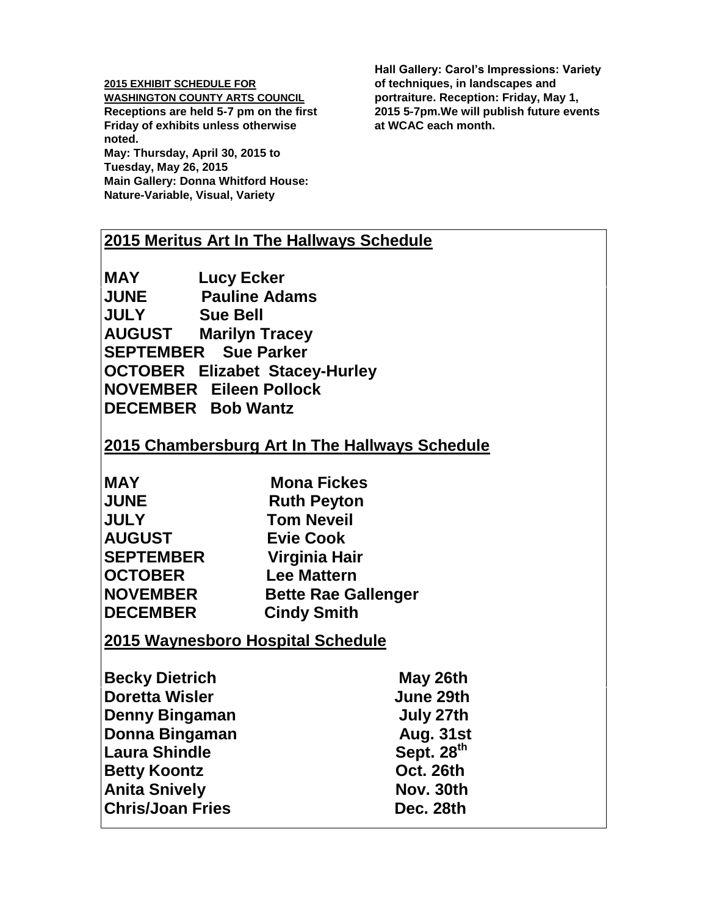#### **2015 EXHIBIT SCHEDULE FOR**

**WASHINGTON COUNTY ARTS COUNCIL Receptions are held 5-7 pm on the first Friday of exhibits unless otherwise noted.**

**May: Thursday, April 30, 2015 to Tuesday, May 26, 2015 Main Gallery: Donna Whitford House: Nature-Variable, Visual, Variety**

**Hall Gallery: Carol's Impressions: Variety of techniques, in landscapes and portraiture. Reception: Friday, May 1, 2015 5-7pm.We will publish future events at WCAC each month.** 

## **2015 Meritus Art In The Hallways Schedule**

**MAY Lucy Ecker JUNE Pauline Adams JULY Sue Bell AUGUST Marilyn Tracey SEPTEMBER Sue Parker OCTOBER Elizabet Stacey-Hurley NOVEMBER Eileen Pollock DECEMBER Bob Wantz** 

## **2015 Chambersburg Art In The Hallways Schedule**

| <b>MAY</b>       | <b>Mona Fickes</b>         |
|------------------|----------------------------|
| <b>JUNE</b>      | <b>Ruth Peyton</b>         |
| <b>JULY</b>      | <b>Tom Neveil</b>          |
| <b>AUGUST</b>    | <b>Evie Cook</b>           |
| <b>SEPTEMBER</b> | Virginia Hair              |
| <b>OCTOBER</b>   | <b>Lee Mattern</b>         |
| <b>NOVEMBER</b>  | <b>Bette Rae Gallenger</b> |
| <b>DECEMBER</b>  | <b>Cindy Smith</b>         |

## **2015 Waynesboro Hospital Schedule**

| <b>Becky Dietrich</b>   | May 26th         |
|-------------------------|------------------|
| <b>Doretta Wisler</b>   | June 29th        |
| <b>Denny Bingaman</b>   | July 27th        |
| Donna Bingaman          | <b>Aug. 31st</b> |
| <b>Laura Shindle</b>    | Sept. 28th       |
| <b>Betty Koontz</b>     | Oct. 26th        |
| <b>Anita Snively</b>    | Nov. 30th        |
| <b>Chris/Joan Fries</b> | Dec. 28th        |
|                         |                  |